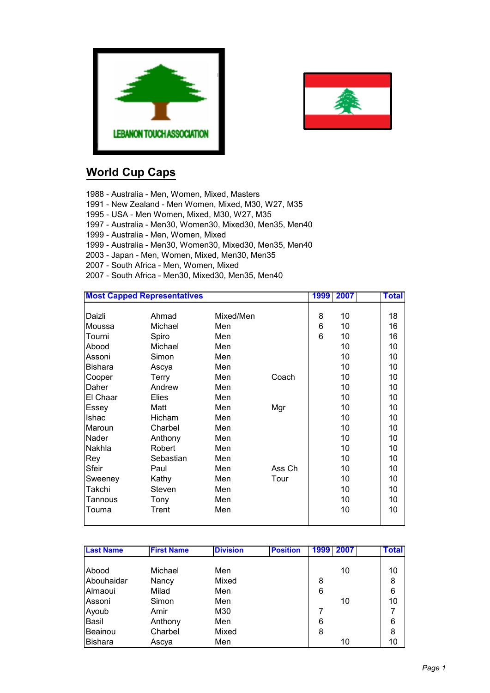



## **World Cup Caps**

1988 - Australia - Men, Women, Mixed, Masters

1991 - New Zealand - Men Women, Mixed, M30, W27, M35

1995 - USA - Men Women, Mixed, M30, W27, M35

1997 - Australia - Men30, Women30, Mixed30, Men35, Men40

1999 - Australia - Men, Women, Mixed

1999 - Australia - Men30, Women30, Mixed30, Men35, Men40

- 2003 Japan Men, Women, Mixed, Men30, Men35
- 2007 South Africa Men, Women, Mixed

2007 - South Africa - Men30, Mixed30, Men35, Men40

| <b>Most Capped Representatives</b> |              |           |        | 1999 | 2007 | <b>Total</b> |
|------------------------------------|--------------|-----------|--------|------|------|--------------|
|                                    |              |           |        |      |      |              |
| Daizli                             | Ahmad        | Mixed/Men |        | 8    | 10   | 18           |
| Moussa                             | Michael      | Men       |        | 6    | 10   | 16           |
| Tourni                             | Spiro        | Men       |        | 6    | 10   | 16           |
| Abood                              | Michael      | Men       |        |      | 10   | 10           |
| Assoni                             | Simon        | Men       |        |      | 10   | 10           |
| <b>Bishara</b>                     | Ascya        | Men       |        |      | 10   | 10           |
| Cooper                             | Terry        | Men       | Coach  |      | 10   | 10           |
| Daher                              | Andrew       | Men       |        |      | 10   | 10           |
| El Chaar                           | <b>Elies</b> | Men       |        |      | 10   | 10           |
| Essey                              | Matt         | Men       | Mgr    |      | 10   | 10           |
| Ishac                              | Hicham       | Men       |        |      | 10   | 10           |
| Maroun                             | Charbel      | Men       |        |      | 10   | 10           |
| Nader                              | Anthony      | Men       |        |      | 10   | 10           |
| Nakhla                             | Robert       | Men       |        |      | 10   | 10           |
| Rey                                | Sebastian    | Men       |        |      | 10   | 10           |
| Sfeir                              | Paul         | Men       | Ass Ch |      | 10   | 10           |
| Sweeney                            | Kathy        | Men       | Tour   |      | 10   | 10           |
| Takchi                             | Steven       | Men       |        |      | 10   | 10           |
| <b>Tannous</b>                     | Tony         | Men       |        |      | 10   | 10           |
| Touma                              | Trent        | Men       |        |      | 10   | 10           |
|                                    |              |           |        |      |      |              |

| <b>Last Name</b> | <b>First Name</b> | <b>Division</b> | <b>Position</b> | 2007<br>1999 | <b>Total</b> |
|------------------|-------------------|-----------------|-----------------|--------------|--------------|
|                  |                   |                 |                 |              |              |
| Abood            | Michael           | Men             |                 | 10           | 10           |
| Abouhaidar       | Nancy             | Mixed           |                 | 8            | 8            |
| Almaoui          | Milad             | Men             |                 | 6            | 6            |
| Assoni           | Simon             | Men             |                 | 10           | 10           |
| Ayoub            | Amir              | M30             |                 |              | 7            |
| Basil            | Anthony           | Men             |                 | 6            | 6            |
| Beainou          | Charbel           | Mixed           |                 | 8            | 8            |
| Bishara          | Ascya             | Men             |                 | 10           | 10           |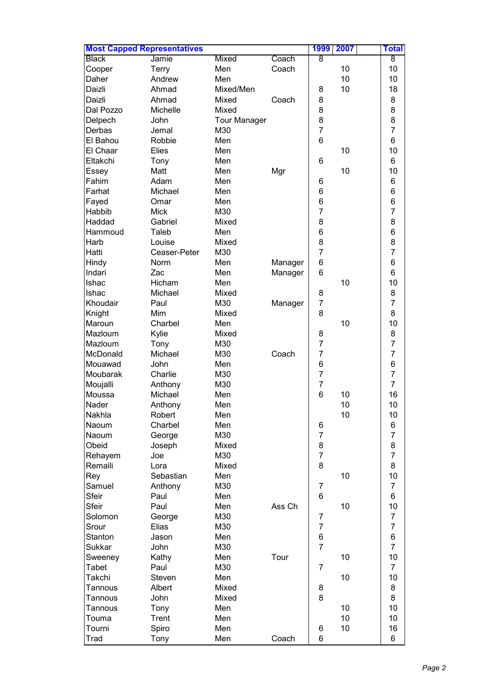| <b>Most Capped Representatives</b> |               |                     |         | 1999           | 2007 | Total                                 |
|------------------------------------|---------------|---------------------|---------|----------------|------|---------------------------------------|
| <b>Black</b>                       | Jamie         | <b>Mixed</b>        | Coach   | 8              |      | 8                                     |
| Cooper                             | <b>Terry</b>  | Men                 | Coach   |                | 10   | 10                                    |
| Daher                              | Andrew        | Men                 |         |                | 10   | 10                                    |
| Daizli                             | Ahmad         | Mixed/Men           |         | 8              | 10   | 18                                    |
| Daizli                             | Ahmad         | Mixed               | Coach   | 8              |      | 8                                     |
| Dal Pozzo                          | Michelle      | Mixed               |         | 8              |      | 8                                     |
| Delpech                            | John          | <b>Tour Manager</b> |         | 8              |      | 8                                     |
| Derbas                             | Jemal         | M30                 |         | $\overline{7}$ |      | $\overline{7}$                        |
| El Bahou                           | Robbie        | Men                 |         | 6              |      | 6                                     |
| El Chaar                           | Elies         | Men                 |         |                | 10   | 10                                    |
| Eltakchi                           | Tony          | Men                 |         | 6              |      | 6                                     |
| Essey                              | Matt          | Men                 |         |                | 10   | 10                                    |
| Fahim                              | Adam          | Men                 | Mgr     |                |      | 6                                     |
|                                    |               |                     |         | 6              |      |                                       |
| Farhat                             | Michael       | Men                 |         | 6              |      | 6                                     |
| Fayed                              | Omar          | Men                 |         | 6              |      | 6                                     |
| Habbib                             | <b>Mick</b>   | M30                 |         | $\overline{7}$ |      | $\overline{7}$                        |
| Haddad                             | Gabriel       | Mixed               |         | 8              |      | 8                                     |
| Hammoud                            | Taleb         | Men                 |         | 6              |      | 6                                     |
| Harb                               | Louise        | Mixed               |         | 8              |      | $\begin{array}{c} 8 \\ 7 \end{array}$ |
| Hatti                              | Ceaser-Peter  | M30                 |         | $\overline{7}$ |      |                                       |
| Hindy                              | Norm          | Men                 | Manager | 6              |      | 6                                     |
| Indari                             | Zac           | Men                 | Manager | 6              |      | 6                                     |
| Ishac                              | Hicham        | Men                 |         |                | 10   | 10                                    |
| Ishac                              | Michael       | Mixed               |         | 8              |      | 8                                     |
| Khoudair                           | Paul          | M30                 | Manager | $\overline{7}$ |      | $\overline{7}$                        |
| Knight                             | Mim           | Mixed               |         | 8              |      | 8                                     |
| Maroun                             | Charbel       | Men                 |         |                | 10   | 10                                    |
| Mazloum                            | Kylie         | Mixed               |         | 8              |      | 8                                     |
| Mazloum                            | Tony          | M30                 |         | $\overline{7}$ |      | $\overline{7}$                        |
| McDonald                           | Michael       | M30                 | Coach   | $\overline{7}$ |      | $\overline{7}$                        |
| Mouawad                            | John          | Men                 |         | 6              |      | 6                                     |
| Moubarak                           | Charlie       | M30                 |         | $\overline{7}$ |      | $\overline{7}$                        |
| Moujalli                           | Anthony       | M30                 |         | $\overline{7}$ |      | $\overline{7}$                        |
| Moussa                             | Michael       | Men                 |         | 6              | 10   | 16                                    |
| Nader                              | Anthony       | Men                 |         |                | 10   | 10                                    |
| Nakhla                             | Robert        | Men                 |         |                | 10   | 10                                    |
| Naoum                              | Charbel       | Men                 |         | 6              |      | 6                                     |
| Naoum                              | George        | M30                 |         | $\overline{7}$ |      | $\overline{7}$                        |
| Obeid                              | Joseph        | Mixed               |         | 8              |      | 8                                     |
| Rehayem                            | Joe           | M30                 |         | $\overline{7}$ |      | $\overline{7}$                        |
| Remaili                            | Lora          | Mixed               |         | 8              |      | 8                                     |
| Rey                                | Sebastian     | Men                 |         |                | 10   | 10                                    |
| Samuel                             |               | M30                 |         | $\overline{7}$ |      | $\overline{7}$                        |
| Sfeir                              | Anthony       |                     |         | 6              |      | 6                                     |
|                                    | Paul          | Men                 |         |                |      |                                       |
| Sfeir                              | Paul          | Men                 | Ass Ch  |                | 10   | 10                                    |
| Solomon                            | George        | M30                 |         | 7              |      | $\overline{7}$                        |
| Srour                              | Elias         | M30                 |         | $\overline{7}$ |      | $\overline{7}$                        |
| Stanton                            | Jason         | Men                 |         | 6              |      | 6                                     |
| Sukkar                             | John          | M30                 |         | $\overline{7}$ |      | $\overline{7}$                        |
| Sweeney                            | Kathy         | Men                 | Tour    |                | 10   | 10                                    |
| Tabet                              | Paul          | M30                 |         | 7              |      | $\overline{7}$                        |
| Takchi                             | <b>Steven</b> | Men                 |         |                | 10   | 10                                    |
| Tannous                            | Albert        | Mixed               |         | 8              |      | 8                                     |
| Tannous                            | John          | Mixed               |         | 8              |      | 8                                     |
| Tannous                            | Tony          | Men                 |         |                | 10   | 10                                    |
| Touma                              | Trent         | Men                 |         |                | 10   | 10                                    |
| Tourni                             | Spiro         | Men                 |         | 6              | 10   | 16                                    |
| Trad                               | Tony          | Men                 | Coach   | 6              |      | 6                                     |